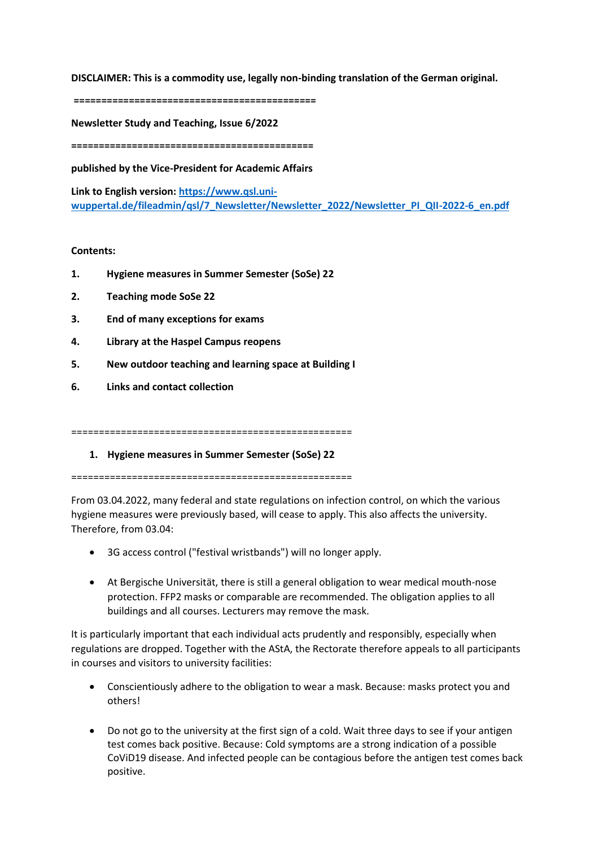**DISCLAIMER: This is a commodity use, legally non-binding translation of the German original.**

**============================================**

**Newsletter Study and Teaching, Issue 6/2022**

**============================================**

**published by the Vice-President for Academic Affairs**

**Link to English version: [https://www.qsl.uni](https://www.qsl.uni-wuppertal.de/fileadmin/qsl/7_Newsletter/Newsletter_2022/Newsletter_PI_QII-2022-6_en.pdf)[wuppertal.de/fileadmin/qsl/7\\_Newsletter/Newsletter\\_2022/Newsletter\\_PI\\_QII-2022-6\\_en.pdf](https://www.qsl.uni-wuppertal.de/fileadmin/qsl/7_Newsletter/Newsletter_2022/Newsletter_PI_QII-2022-6_en.pdf)**

# **Contents:**

- **1. Hygiene measures in Summer Semester (SoSe) 22**
- **2. Teaching mode SoSe 22**
- **3. End of many exceptions for exams**
- **4. Library at the Haspel Campus reopens**
- **5. New outdoor teaching and learning space at Building I**
- **6. Links and contact collection**

===================================================

**1. Hygiene measures in Summer Semester (SoSe) 22**

===================================================

From 03.04.2022, many federal and state regulations on infection control, on which the various hygiene measures were previously based, will cease to apply. This also affects the university. Therefore, from 03.04:

- 3G access control ("festival wristbands") will no longer apply.
- At Bergische Universität, there is still a general obligation to wear medical mouth-nose protection. FFP2 masks or comparable are recommended. The obligation applies to all buildings and all courses. Lecturers may remove the mask.

It is particularly important that each individual acts prudently and responsibly, especially when regulations are dropped. Together with the AStA, the Rectorate therefore appeals to all participants in courses and visitors to university facilities:

- Conscientiously adhere to the obligation to wear a mask. Because: masks protect you and others!
- Do not go to the university at the first sign of a cold. Wait three days to see if your antigen test comes back positive. Because: Cold symptoms are a strong indication of a possible CoViD19 disease. And infected people can be contagious before the antigen test comes back positive.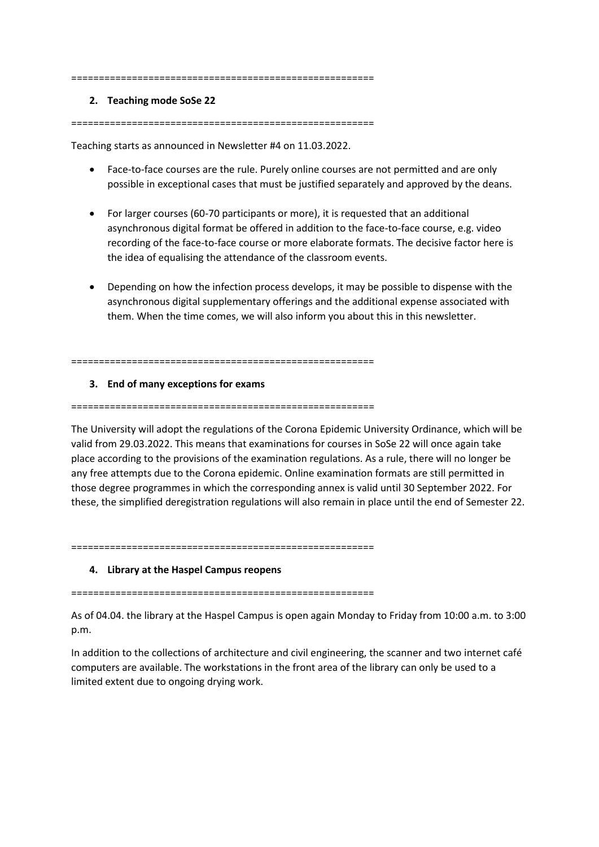#### =======================================================

#### **2. Teaching mode SoSe 22**

=======================================================

Teaching starts as announced in Newsletter #4 on 11.03.2022.

- Face-to-face courses are the rule. Purely online courses are not permitted and are only possible in exceptional cases that must be justified separately and approved by the deans.
- For larger courses (60-70 participants or more), it is requested that an additional asynchronous digital format be offered in addition to the face-to-face course, e.g. video recording of the face-to-face course or more elaborate formats. The decisive factor here is the idea of equalising the attendance of the classroom events.
- Depending on how the infection process develops, it may be possible to dispense with the asynchronous digital supplementary offerings and the additional expense associated with them. When the time comes, we will also inform you about this in this newsletter.

=======================================================

## **3. End of many exceptions for exams**

=======================================================

The University will adopt the regulations of the Corona Epidemic University Ordinance, which will be valid from 29.03.2022. This means that examinations for courses in SoSe 22 will once again take place according to the provisions of the examination regulations. As a rule, there will no longer be any free attempts due to the Corona epidemic. Online examination formats are still permitted in those degree programmes in which the corresponding annex is valid until 30 September 2022. For these, the simplified deregistration regulations will also remain in place until the end of Semester 22.

=======================================================

## **4. Library at the Haspel Campus reopens**

=======================================================

As of 04.04. the library at the Haspel Campus is open again Monday to Friday from 10:00 a.m. to 3:00 p.m.

In addition to the collections of architecture and civil engineering, the scanner and two internet café computers are available. The workstations in the front area of the library can only be used to a limited extent due to ongoing drying work.